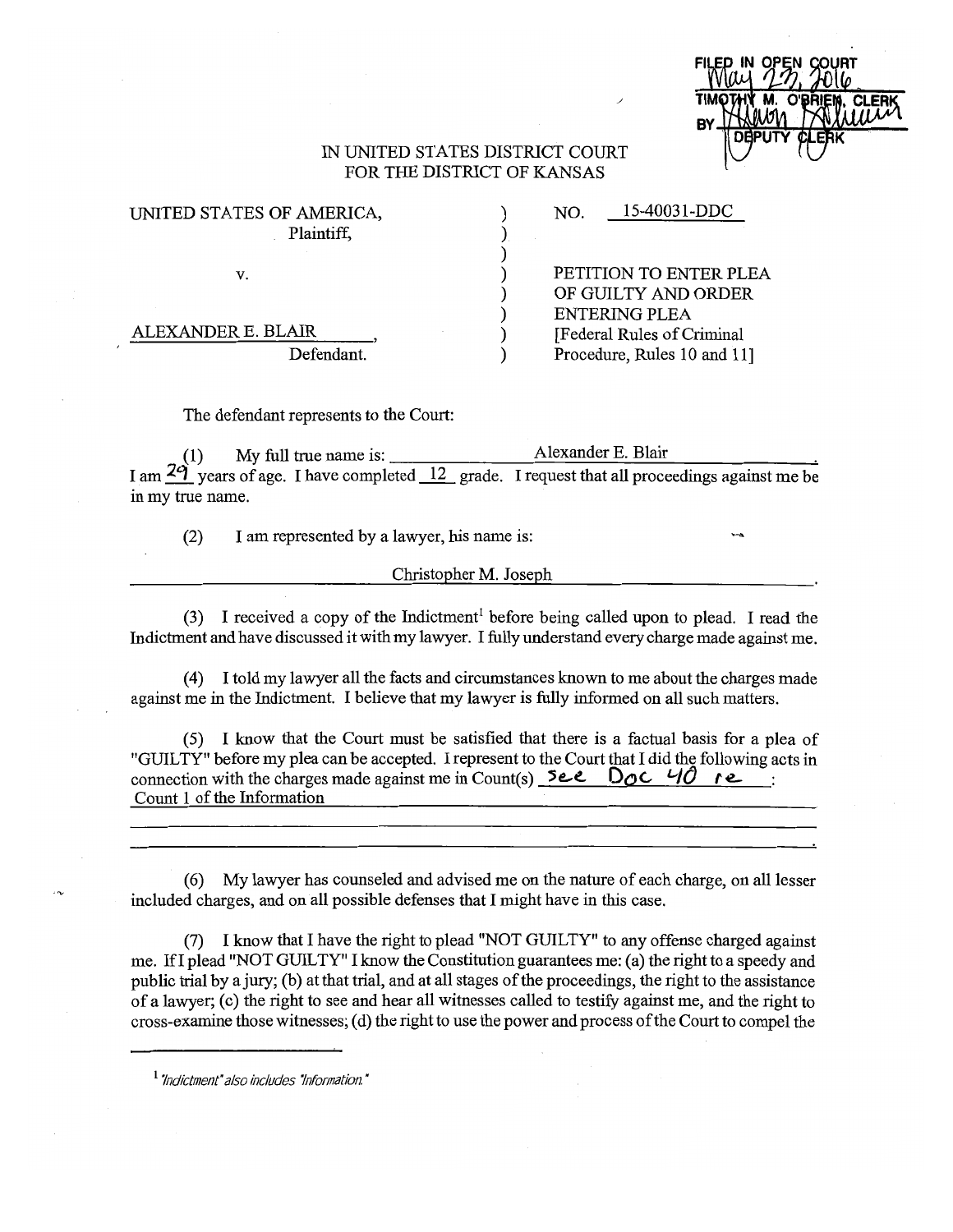## IN UNITED STATES DISTRICT COURT FOR THE DISTRICT OF KANSAS

| UNITED STATES OF AMERICA, |  |
|---------------------------|--|
| Plaintiff,                |  |
|                           |  |
| v.                        |  |
|                           |  |
|                           |  |
| ALEXANDER E. BLAIR        |  |
| Defendant.                |  |

PETITION TO ENTER PLEA OF GUILTY AND ORDER ENTERING PLEA [Federal Rules of Criminal Procedure, Rules 10 and 11]

NO. 15-40031-DDC

The defendant represents to the Court:

(1) My full true name is: **Alexander E. Blair** I am  $29$  years of age. I have completed 12 grade. I request that all proceedings against me be in my true name.

(2) I am represented by a lawyer, his name is:

Christopher M. Joseph

(3) I received a copy of the Indictment<sup>1</sup> before being called upon to plead. I read the Indictment and have discussed it with my lawyer. I fully understand every charge made against me.

( 4) I told my lawyer all the facts and circumstances known to me about the charges made against me in the Indictment. I believe that my lawyer is fully informed on all such matters.

(5) I know that the Court must be satisfied that there is a factual basis for a plea of "GUILTY" before my plea can be accepted. I represent to the Court that I did the following acts in connection with the charges made against me in Count(s)  $\begin{bmatrix} 5e & 5 \end{bmatrix}$  **Doc.**  $\begin{bmatrix} 40 & e \end{bmatrix}$ : Count 1 of the Information

(6) My lawyer has counseled and advised me on the nature of each charge, on all lesser included charges, and on all possible defenses that I might have in this case.

(7) I know that I have the right to plead "NOT GUILTY" to any offense charged against me. Ifl plead "NOT GUILTY" I know the Constitution guarantees me: (a) the right to a speedy and public trial by a jury; (b) at that trial, and at all stages of the proceedings, the right to the assistance of a lawyer; (c) the right to see and hear all witnesses called to testify against me, and the right to cross-examine those witnesses; ( d) the right to use the power and process of the Court to compel the

<sup>1</sup>*"Indictment" also includes 'information.* "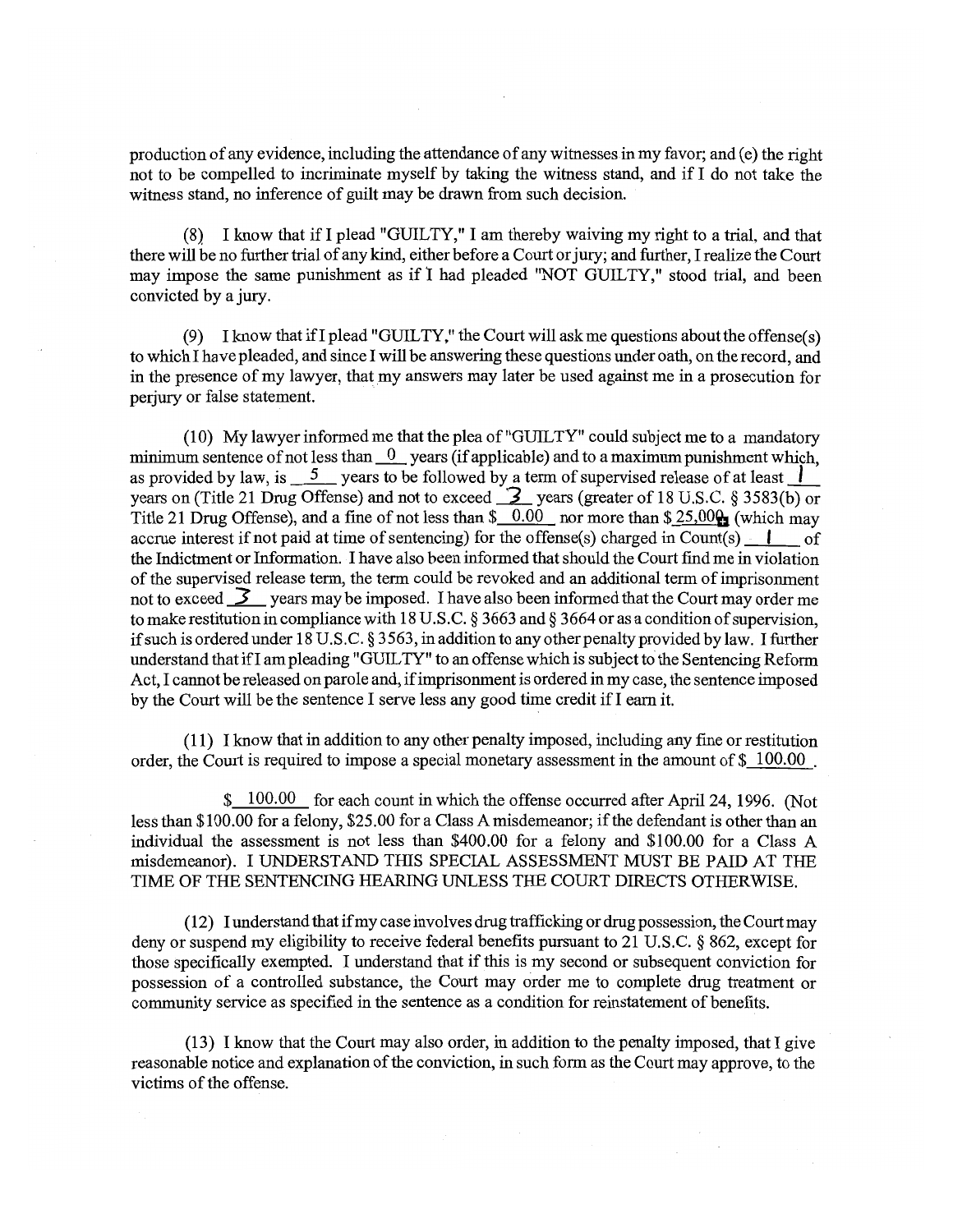production of any evidence, including the attendance of any witnesses in my favor; and ( e) the right not to be compelled to incriminate myself by taking the witness stand, and if I do not take the witness stand, no inference of guilt may be drawn from such decision.

(8) I know that if I plead "GUILTY," I am thereby waiving my right to a trial, and that there will be no further trial of any kind, either before a Court or jury; and further, I realize the Court may impose the same punishment as if I had pleaded "NOT GUILTY," stood trial, and been convicted by a jury.

(9) I know that if I plead "GUILTY," the Court will ask me questions about the offense(s) to which I have pleaded, and since I will be answering these questions under oath, on the record, and in the presence of my lawyer, that my answers may later be used against me in a prosecution for perjury or false statement.

(10) My lawyer informed me that the plea of "GUILTY" could subject me to a mandatory minimum sentence of not less than <sup>0</sup> vears (if applicable) and to a maximum punishment which, as provided by law, is  $\frac{5}{2}$  years to be followed by a term of supervised release of at least years on (Title 21 Drug Offense) and not to exceed **3** years (greater of 18 U.S.C. § 3583(b) or Title 21 Drug Offense), and a fine of not less than  $\frac{$6.00}{\pi}$  nor more than  $\frac{$25,00}{\pi}$  (which may accrue interest if not paid at time of sentencing) for the offense(s) charged in Count(s)  $\cdot$  | of the Indictment or Information. I have also been informed that should the Court find me in violation of the supervised release term, the term could be revoked and an additional term of imprisonment not to exceed **3** years may be imposed. I have also been informed that the Court may order me to make restitution in compliance with 18 U.S.C. § 3663 and§ 3664 or as a condition of supervision, if such is ordered under 18 U.S.C. § 3563, in addition to any other penalty provided bylaw. I further understand that ifl am pleading "GUILTY" to an offense which is subject to the Sentencing Reform Act, I cannot be released on parole and, if imprisonment is ordered in my case, the sentence imposed by the Court will be the sentence I serve less any good time credit if I earn it.

( 11) I know that in addition to any other penalty imposed, including any fine or restitution order, the Court is required to impose a special monetary assessment in the amount of\$ 100.00 .

\$ 100.00 for each count in which the offense occurred after April 24, 1996. (Not less than \$100.00 for a felony, \$25.00 for a Class A misdemeanor; if the defendant is other than an individual the assessment is not less than \$400.00 for a felony and \$100.00 for a Class A misdemeanor). I UNDERSTAND THIS SPECIAL ASSESSMENT MUST BE PAID AT THE TIME OF THE SENTENCING HEARING UNLESS THE COURT DIRECTS OTHERWISE.

(12) I understand that if my case involves drug trafficking or drug possession, the Court may deny or suspend my eligibility to receive federal benefits pursuant to 21 U.S.C. § 862, except for those specifically exempted. I understand that if this is my second or subsequent conviction for possession of a controlled substance, the Court may order me to complete drug treatment or community service as specified in the sentence as a condition for reinstatement of benefits.

(13) I know that the Court may also order, in addition to the penalty imposed, that I give reasonable notice and explanation of the conviction, in such form as the Court may approve, to the victims of the offense.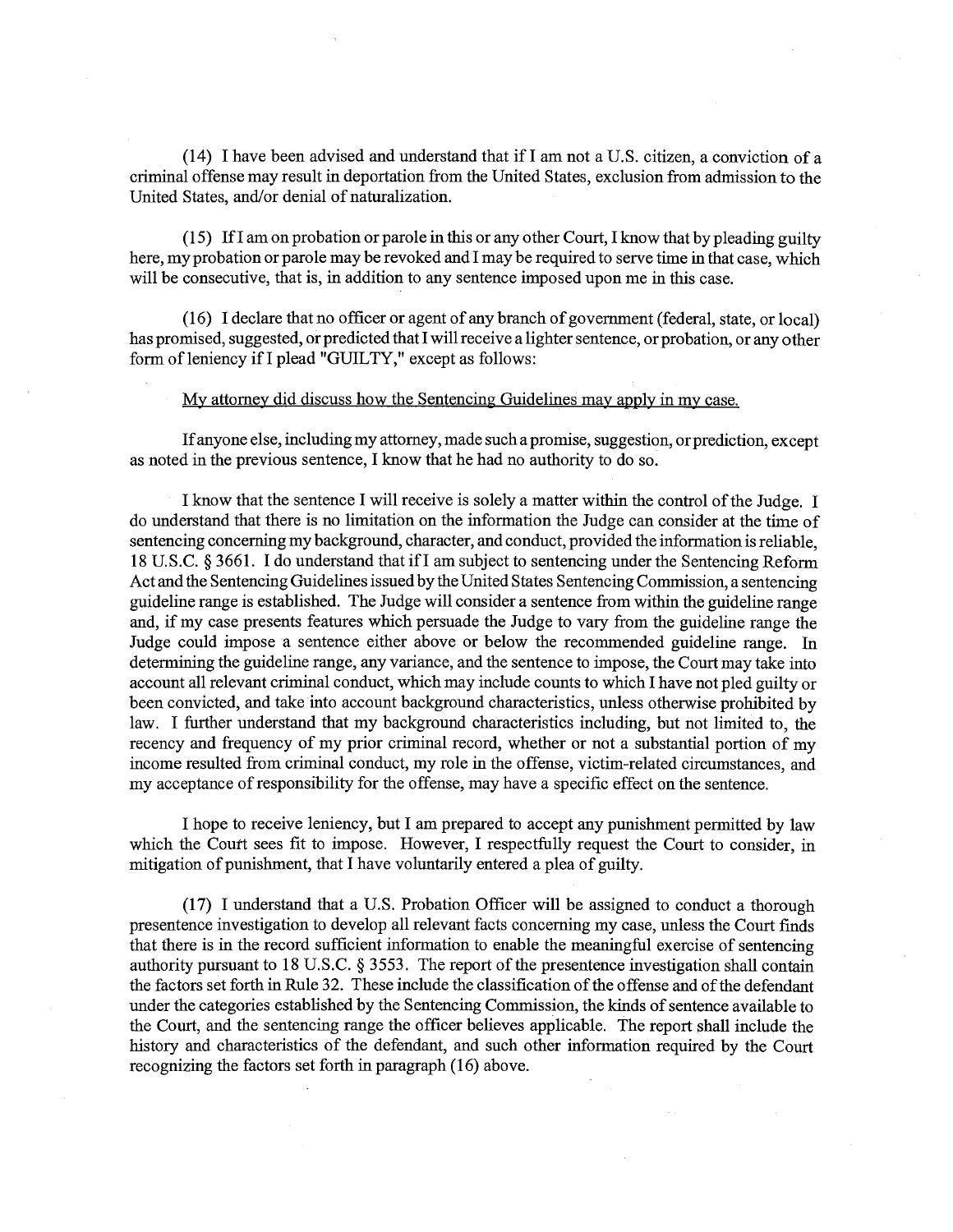(14) I have been advised and understand that ifl am not a U.S. citizen, a conviction of a criminal offense may result in deportation from the United States, exclusion from admission to the United States, and/or denial of naturalization.

(15) Ifl am on probation or parole in this or any other Court, I know that by pleading guilty here, my probation or parole may be revoked and I may be required to serve time in that case, which will be consecutive, that is, in addition to any sentence imposed upon me in this case.

( 16) I declare that no officer or agent of any branch of government (federal, state, or local) has promised, suggested, or predicted that I will receive a lighter sentence, or probation, or any other form of leniency if I plead "GUILTY," except as follows:

## My attorney did discuss how the Sentencing Guidelines may apply in my case.

If anyone else, including my attorney, made such a promise, suggestion, or prediction, except as noted in the previous sentence, I know that he had no authority to do so.

I know that the sentence I will receive is solely a matter within the control of the Judge. I do understand that there is no limitation on the information the Judge can consider at the time of sentencing concerning my background, character, and conduct, provided the information is reliable, 18 U.S.C. § 3661. I do understand that ifl am subject to sentencing under the Sentencing Reform Act and the Sentencing Guidelines issued by the United States Sentencing Commission, a sentencing guideline range is established. The Judge will consider a sentence from within the guideline range and, if my case presents features which persuade the Judge to vary from the guideline range the Judge could impose a sentence either above or below the recommended guideline range. In determining the guideline range, any variance, and the sentence to impose, the Court may take into account all relevant criminal conduct, which may include counts to which I have not pied guilty or been convicted, and take into account background characteristics, unless otherwise prohibited by law. I further understand that my background characteristics including, but not limited to, the recency and frequency of my prior criminal record, whether or not a substantial portion of my income resulted from criminal conduct, my role in the offense, victim-related circumstances, and my acceptance of responsibility for the offense, may have a specific effect on the sentence.

I hope to receive leniency, but I am prepared to accept any punishment permitted by law which the Court sees fit to impose. However, I respectfully request the Court to consider, in mitigation of punishment, that I have voluntarily entered a plea of guilty.

(17) I understand that a U.S. Probation Officer will be assigned to conduct a thorough presentence investigation to develop all relevant facts concerning my case, unless the Court finds that there is in the record sufficient information to enable the meaningful exercise of sentencing authority pursuant to 18 U.S.C. § 3553. The report of the presentence investigation shall contain the factors set forth in Rule 32. These include the classification of the offense and of the defendant under the categories established by the Sentencing Commission, the kinds of sentence available to the Court, and the sentencing range the officer believes applicable. The report shall include the history and characteristics of the defendant, and such other information required by the Court recognizing the factors set forth in paragraph (16) above.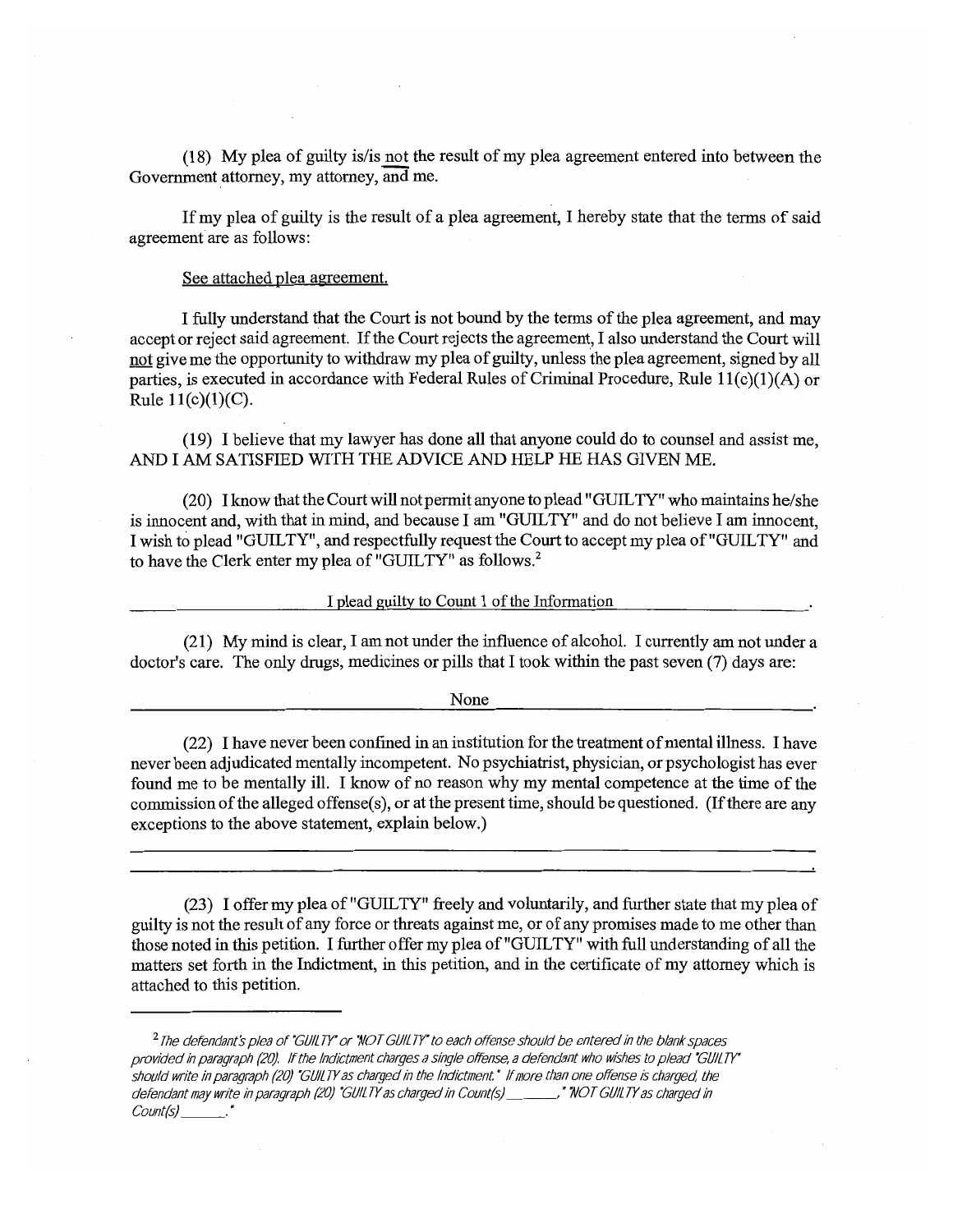(18) My plea of guilty is/is not the result of my plea agreement entered into between the Government attorney, my attorney, and me.

If my plea of guilty is the result of a plea agreement, I hereby state that the terms of said agreement are as follows:

See attached plea agreement.

I fully understand that the Court is not bound by the terms of the plea agreement, and may accept or reject said agreement. If the Court rejects the agreement, I also understand the Court will not give me the opportunity to withdraw my plea of guilty, unless the plea agreement, signed by all parties, is executed in accordance with Federal Rules of Criminal Procedure, Rule  $11(c)(1)(A)$  or Rule  $11(c)(1)(C)$ .

(19) I believe that my lawyer has done all that anyone could do to counsel and assist me, AND I AM SATISFIED WITH THE ADVICE AND HELP HE HAS GIVEN ME.

(20) I know that the Court will not permit anyone to plead "GUILTY" who maintains he/she is innocent and, with that in mind, and because I am "GUILTY" and do not believe I am innocent, I wish to plead "GUILTY", and respectfully request the Court to accept my plea of "GUILTY" and to have the Clerk enter my plea of "GUILTY" as follows.<sup>2</sup>

I plead guilty to Count 1 of the Information

(21) My mind is clear, I am not under the influence of alcohol. I currently am not under a doctor's care. The only drugs, medicines or pills that I took within the past seven (7) days are:

None

(22) I have never been confined in an institution for the treatment of mental illness. I have never been adjudicated mentally incompetent. No psychiatrist, physician, or psychologist has ever found me to be mentally ill. I know of no reason why my mental competence at the time of the commission of the alleged offense(s), or at the present time, should be questioned. (If there are any exceptions to the above statement, explain below.)

(23) I offer my plea of "GUILTY" freely and voluntarily, and further state that my plea of guilty is not the result of any force or threats against me, or of any promises made to me other than those noted in this petition. I further offer my plea of "GUILTY" with full understanding of all the matters set forth in the Indictment, in this petition, and in the certificate of my attorney which is attached to this petition.

<sup>2</sup>*The defendant's plea of "GUILTY' or "NOT GUILTY' to each offense should be entered in the blank spaces provided in paragraph (20) If the Indictment charges a single offense, a defendant who wishes to plead 'GUILTY" should wnte in paragraph (20) 'GUILTY as charged in the Indictment* • *If more than one offense is charged the defendant may write in paragraph (20) "GUILTY as charged in Count(s) \_\_\_\_\_\_\_," "NOT GUILTY as charged in Count(s) \_\_\_\_\_\_.<br>Count(s) \_\_\_\_\_\_\_."*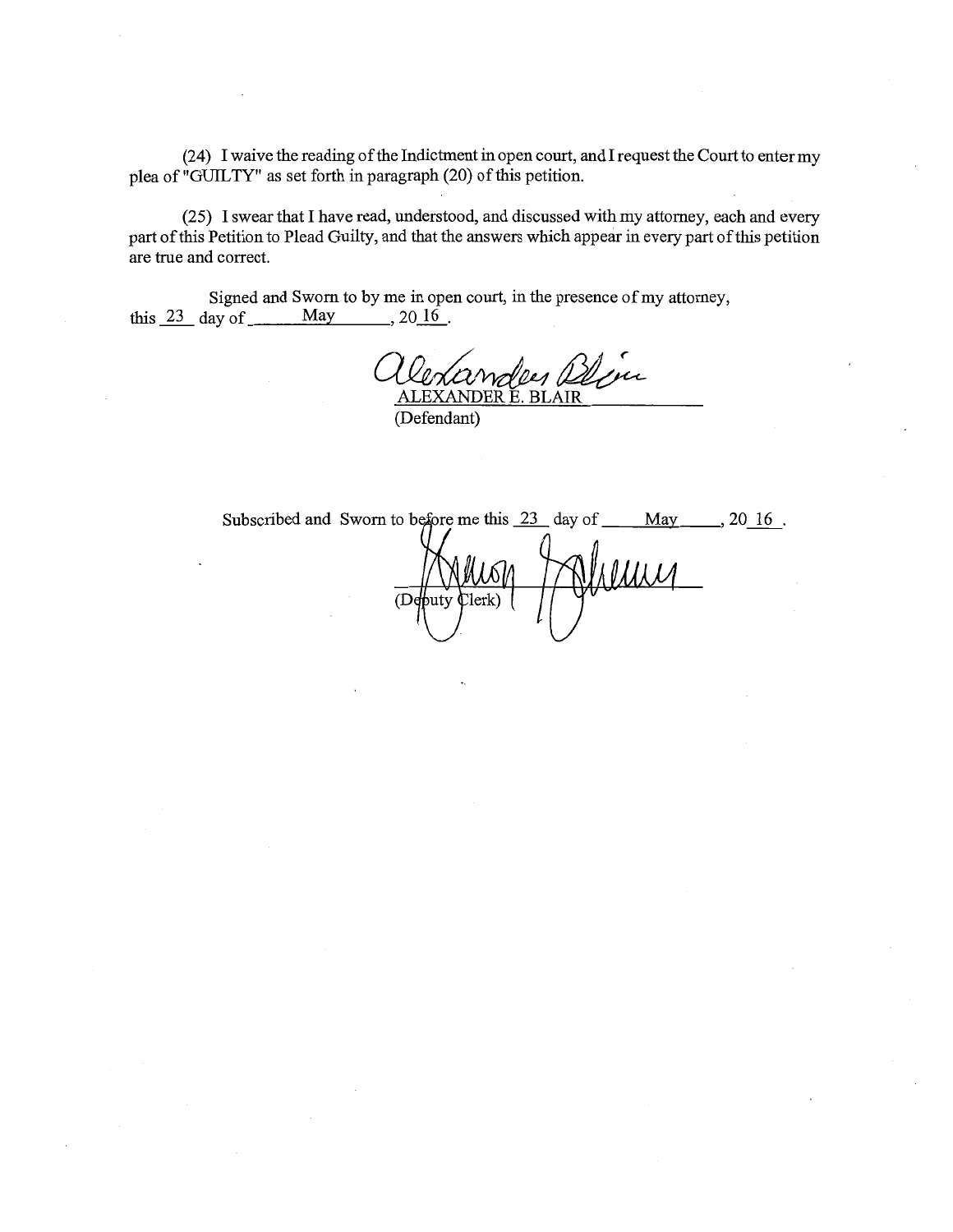(24) I waive the reading of the Indictment in open court, and I request the Court to enter my plea of "GUILTY" as set forth in paragraph (20) of this petition.

(25) I swear that I have read, understood, and discussed with my attorney, each and every part of this Petition to Plead Guilty, and that the answers which appear in every part of this petition are true and correct.

Signed and Sworn to by me in open court, in the presence of my attorney,<br>lay of  $\underline{\hspace{1cm}}$  May  $\phantom{\times}$ , 20<u>16</u>. this  $23$  day of <u>May</u>

yen ALEXANDER E. BLAIR

(Defendant)

Subscribed and Sworn to before me this  $\frac{23}{1}$  day of  $\frac{10}{1}$  May..., 20 16. Villing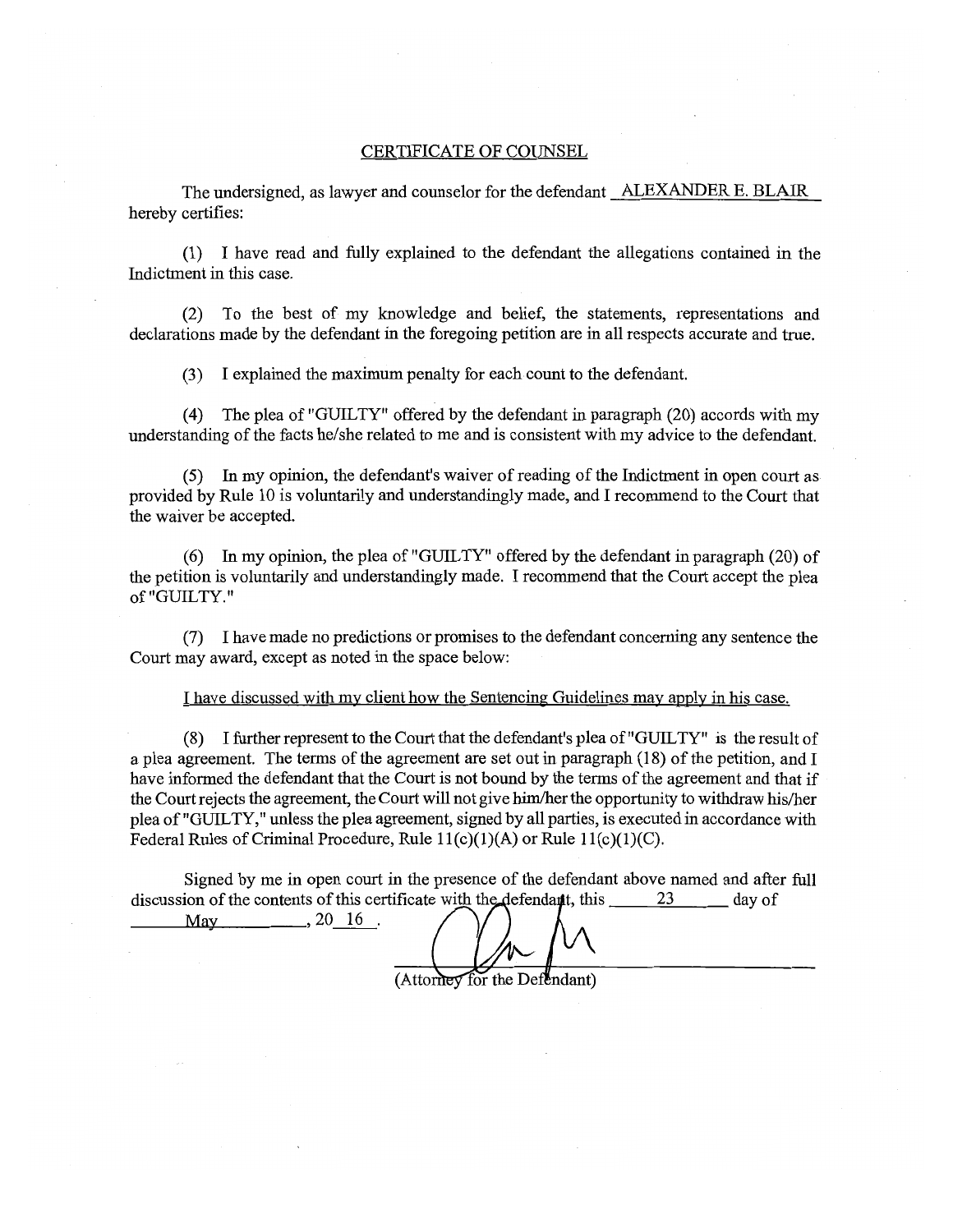## CERTIFICATE OF COUNSEL

The undersigned, as lawyer and counselor for the defendant ALEXANDER E. BLAIR hereby certifies:

(1) I have read and fully explained to the defendant the allegations contained in the Indictment in this case.

(2) To the best of my knowledge and belief, the statements, representations and declarations made by the defendant in the foregoing petition are in all respects accurate and true.

(3) I explained the maximum penalty for each count to the defendant.

( 4) The plea of "GUILTY" offered by the defendant in paragraph (20) accords with my understanding of the facts he/she related to me and is consistent with my advice to the defendant.

(5) In my opinion, the defendant's waiver ofreading of the Indictment in open court as provided by Rule 10 is voluntarily and understandingly made, and I recommend to the Court that the waiver be accepted.

(6) In my opinion, the plea of "GUILTY" offered by the defendant in paragraph (20) of the petition is voluntarily and understandingly made. I recommend that the Court accept the plea of "GUILTY."

(7) I have made no predictions or promises to the defendant concerning any sentence the Court may award, except as noted in the space below:

I have discussed with my client how the Sentencing Guidelines may apply in his case.

(8) I further represent to the Court that the defendant's plea of "GUILTY" is the result of a plea agreement. The terms of the agreement are set out in paragraph (18) of the petition, and I have informed the defendant that the Court is not bound by the terms of the agreement and that if the Court rejects the agreement, the Court will not give him/her the opportunity to withdraw his/her plea of "GUILTY," unless the plea agreement, signed by all parties, is executed in accordance with Federal Rules of Criminal Procedure, Rule  $11(c)(1)(A)$  or Rule  $11(c)(1)(C)$ .

Signed by me in open court in the presence of the defendant above named and after full discussion of the contents of this certificate with the defendant, this  $\frac{23}{1}$  day of

May  $\_\_$ , 20 $\frac{16}{ }$ .

(Attorney for the Defendant)